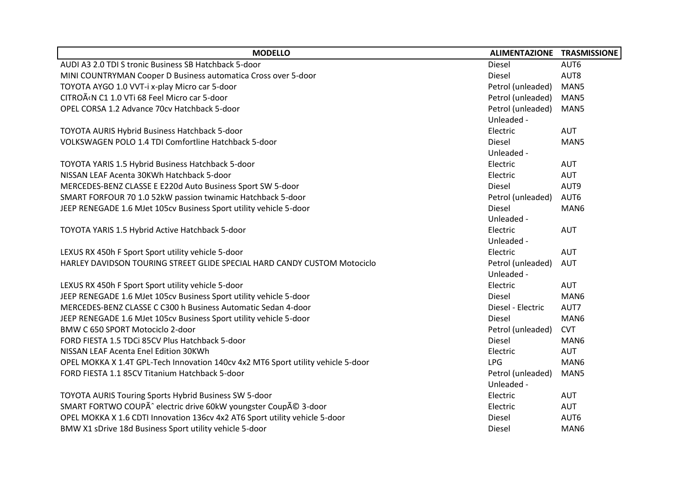| <b>MODELLO</b>                                                                   | ALIMENTAZIONE TRASMISSIONE |            |
|----------------------------------------------------------------------------------|----------------------------|------------|
| AUDI A3 2.0 TDI S tronic Business SB Hatchback 5-door                            | <b>Diesel</b>              | AUT6       |
| MINI COUNTRYMAN Cooper D Business automatica Cross over 5-door                   | Diesel                     | AUT8       |
| TOYOTA AYGO 1.0 VVT-i x-play Micro car 5-door                                    | Petrol (unleaded)          | MAN5       |
| CITROËN C1 1.0 VTi 68 Feel Micro car 5-door                                      | Petrol (unleaded)          | MAN5       |
| OPEL CORSA 1.2 Advance 70cv Hatchback 5-door                                     | Petrol (unleaded)          | MAN5       |
|                                                                                  | Unleaded -                 |            |
| TOYOTA AURIS Hybrid Business Hatchback 5-door                                    | Electric                   | <b>AUT</b> |
| VOLKSWAGEN POLO 1.4 TDI Comfortline Hatchback 5-door                             | <b>Diesel</b>              | MAN5       |
|                                                                                  | Unleaded -                 |            |
| TOYOTA YARIS 1.5 Hybrid Business Hatchback 5-door                                | Electric                   | <b>AUT</b> |
| NISSAN LEAF Acenta 30KWh Hatchback 5-door                                        | Electric                   | <b>AUT</b> |
| MERCEDES-BENZ CLASSE E E220d Auto Business Sport SW 5-door                       | Diesel                     | AUT9       |
| SMART FORFOUR 70 1.0 52kW passion twinamic Hatchback 5-door                      | Petrol (unleaded)          | AUT6       |
| JEEP RENEGADE 1.6 MJet 105cv Business Sport utility vehicle 5-door               | Diesel                     | MAN6       |
|                                                                                  | Unleaded -                 |            |
| TOYOTA YARIS 1.5 Hybrid Active Hatchback 5-door                                  | Electric                   | <b>AUT</b> |
|                                                                                  | Unleaded -                 |            |
| LEXUS RX 450h F Sport Sport utility vehicle 5-door                               | Electric                   | <b>AUT</b> |
| HARLEY DAVIDSON TOURING STREET GLIDE SPECIAL HARD CANDY CUSTOM Motociclo         | Petrol (unleaded)          | <b>AUT</b> |
|                                                                                  | Unleaded -                 |            |
| LEXUS RX 450h F Sport Sport utility vehicle 5-door                               | Electric                   | <b>AUT</b> |
| JEEP RENEGADE 1.6 MJet 105cv Business Sport utility vehicle 5-door               | Diesel                     | MAN6       |
| MERCEDES-BENZ CLASSE C C300 h Business Automatic Sedan 4-door                    | Diesel - Electric          | AUT7       |
| JEEP RENEGADE 1.6 MJet 105cv Business Sport utility vehicle 5-door               | Diesel                     | MAN6       |
| BMW C 650 SPORT Motociclo 2-door                                                 | Petrol (unleaded)          | <b>CVT</b> |
| FORD FIESTA 1.5 TDCi 85CV Plus Hatchback 5-door                                  | Diesel                     | MAN6       |
| NISSAN LEAF Acenta Enel Edition 30KWh                                            | Electric                   | <b>AUT</b> |
| OPEL MOKKA X 1.4T GPL-Tech Innovation 140cv 4x2 MT6 Sport utility vehicle 5-door | <b>LPG</b>                 | MAN6       |
| FORD FIESTA 1.1 85CV Titanium Hatchback 5-door                                   | Petrol (unleaded)          | MAN5       |
|                                                                                  | Unleaded -                 |            |
| TOYOTA AURIS Touring Sports Hybrid Business SW 5-door                            | Electric                   | <b>AUT</b> |
| SMART FORTWO COUPÃ^ electric drive 60kW youngster Coupé 3-door                   | Electric                   | AUT        |
| OPEL MOKKA X 1.6 CDTI Innovation 136cv 4x2 AT6 Sport utility vehicle 5-door      | Diesel                     | AUT6       |
| BMW X1 sDrive 18d Business Sport utility vehicle 5-door                          | Diesel                     | MAN6       |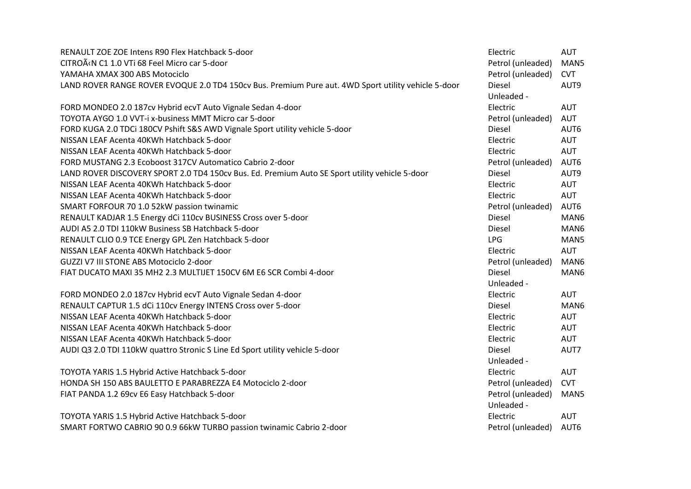| RENAULT ZOE ZOE Intens R90 Flex Hatchback 5-door                                                    | Electric          | <b>AUT</b> |
|-----------------------------------------------------------------------------------------------------|-------------------|------------|
| CITROËN C1 1.0 VTi 68 Feel Micro car 5-door                                                         | Petrol (unleaded) | MAN5       |
| YAMAHA XMAX 300 ABS Motociclo                                                                       | Petrol (unleaded) | <b>CVT</b> |
| LAND ROVER RANGE ROVER EVOQUE 2.0 TD4 150cv Bus. Premium Pure aut. 4WD Sport utility vehicle 5-door | Diesel            | AUT9       |
|                                                                                                     | Unleaded -        |            |
| FORD MONDEO 2.0 187cv Hybrid ecvT Auto Vignale Sedan 4-door                                         | Electric          | <b>AUT</b> |
| TOYOTA AYGO 1.0 VVT-i x-business MMT Micro car 5-door                                               | Petrol (unleaded) | <b>AUT</b> |
| FORD KUGA 2.0 TDCi 180CV Pshift S&S AWD Vignale Sport utility vehicle 5-door                        | Diesel            | AUT6       |
| NISSAN LEAF Acenta 40KWh Hatchback 5-door                                                           | Electric          | <b>AUT</b> |
| NISSAN LEAF Acenta 40KWh Hatchback 5-door                                                           | Electric          | <b>AUT</b> |
| FORD MUSTANG 2.3 Ecoboost 317CV Automatico Cabrio 2-door                                            | Petrol (unleaded) | AUT6       |
| LAND ROVER DISCOVERY SPORT 2.0 TD4 150cv Bus. Ed. Premium Auto SE Sport utility vehicle 5-door      | Diesel            | AUT9       |
| NISSAN LEAF Acenta 40KWh Hatchback 5-door                                                           | Electric          | AUT        |
| NISSAN LEAF Acenta 40KWh Hatchback 5-door                                                           | Electric          | AUT        |
| SMART FORFOUR 70 1.0 52kW passion twinamic                                                          | Petrol (unleaded) | AUT6       |
| RENAULT KADJAR 1.5 Energy dCi 110cv BUSINESS Cross over 5-door                                      | Diesel            | MAN6       |
| AUDI A5 2.0 TDI 110kW Business SB Hatchback 5-door                                                  | <b>Diesel</b>     | MAN6       |
| RENAULT CLIO 0.9 TCE Energy GPL Zen Hatchback 5-door                                                | <b>LPG</b>        | MAN5       |
| NISSAN LEAF Acenta 40KWh Hatchback 5-door                                                           | Electric          | <b>AUT</b> |
| GUZZI V7 III STONE ABS Motociclo 2-door                                                             | Petrol (unleaded) | MAN6       |
| FIAT DUCATO MAXI 35 MH2 2.3 MULTIJET 150CV 6M E6 SCR Combi 4-door                                   | Diesel            | MAN6       |
|                                                                                                     | Unleaded -        |            |
| FORD MONDEO 2.0 187cv Hybrid ecvT Auto Vignale Sedan 4-door                                         | Electric          | <b>AUT</b> |
| RENAULT CAPTUR 1.5 dCi 110cv Energy INTENS Cross over 5-door                                        | Diesel            | MAN6       |
| NISSAN LEAF Acenta 40KWh Hatchback 5-door                                                           | Electric          | <b>AUT</b> |
| NISSAN LEAF Acenta 40KWh Hatchback 5-door                                                           | Electric          | <b>AUT</b> |
| NISSAN LEAF Acenta 40KWh Hatchback 5-door                                                           | Electric          | <b>AUT</b> |
| AUDI Q3 2.0 TDI 110kW quattro Stronic S Line Ed Sport utility vehicle 5-door                        | Diesel            | AUT7       |
|                                                                                                     | Unleaded -        |            |
| TOYOTA YARIS 1.5 Hybrid Active Hatchback 5-door                                                     | Electric          | <b>AUT</b> |
| HONDA SH 150 ABS BAULETTO E PARABREZZA E4 Motociclo 2-door                                          | Petrol (unleaded) | <b>CVT</b> |
| FIAT PANDA 1.2 69cv E6 Easy Hatchback 5-door                                                        | Petrol (unleaded) | MAN5       |
|                                                                                                     | Unleaded -        |            |
| TOYOTA YARIS 1.5 Hybrid Active Hatchback 5-door                                                     | Electric          | <b>AUT</b> |
| SMART FORTWO CABRIO 90 0.9 66kW TURBO passion twinamic Cabrio 2-door                                | Petrol (unleaded) | AUT6       |
|                                                                                                     |                   |            |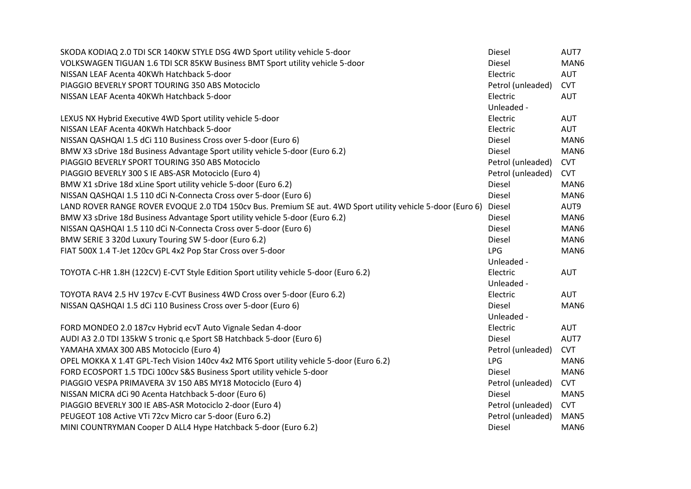| SKODA KODIAQ 2.0 TDI SCR 140KW STYLE DSG 4WD Sport utility vehicle 5-door                                  | Diesel            | AUT7       |
|------------------------------------------------------------------------------------------------------------|-------------------|------------|
| VOLKSWAGEN TIGUAN 1.6 TDI SCR 85KW Business BMT Sport utility vehicle 5-door                               | Diesel            | MAN6       |
| NISSAN LEAF Acenta 40KWh Hatchback 5-door                                                                  | Electric          | <b>AUT</b> |
| PIAGGIO BEVERLY SPORT TOURING 350 ABS Motociclo                                                            | Petrol (unleaded) | <b>CVT</b> |
| NISSAN LEAF Acenta 40KWh Hatchback 5-door                                                                  | Electric          | <b>AUT</b> |
|                                                                                                            | Unleaded -        |            |
| LEXUS NX Hybrid Executive 4WD Sport utility vehicle 5-door                                                 | Electric          | <b>AUT</b> |
| NISSAN LEAF Acenta 40KWh Hatchback 5-door                                                                  | Electric          | <b>AUT</b> |
| NISSAN QASHQAI 1.5 dCi 110 Business Cross over 5-door (Euro 6)                                             | Diesel            | MAN6       |
| BMW X3 sDrive 18d Business Advantage Sport utility vehicle 5-door (Euro 6.2)                               | Diesel            | MAN6       |
| PIAGGIO BEVERLY SPORT TOURING 350 ABS Motociclo                                                            | Petrol (unleaded) | <b>CVT</b> |
| PIAGGIO BEVERLY 300 S IE ABS-ASR Motociclo (Euro 4)                                                        | Petrol (unleaded) | <b>CVT</b> |
| BMW X1 sDrive 18d xLine Sport utility vehicle 5-door (Euro 6.2)                                            | Diesel            | MAN6       |
| NISSAN QASHQAI 1.5 110 dCi N-Connecta Cross over 5-door (Euro 6)                                           | Diesel            | MAN6       |
| LAND ROVER RANGE ROVER EVOQUE 2.0 TD4 150cv Bus. Premium SE aut. 4WD Sport utility vehicle 5-door (Euro 6) | Diesel            | AUT9       |
| BMW X3 sDrive 18d Business Advantage Sport utility vehicle 5-door (Euro 6.2)                               | <b>Diesel</b>     | MAN6       |
| NISSAN QASHQAI 1.5 110 dCi N-Connecta Cross over 5-door (Euro 6)                                           | Diesel            | MAN6       |
| BMW SERIE 3 320d Luxury Touring SW 5-door (Euro 6.2)                                                       | Diesel            | MAN6       |
| FIAT 500X 1.4 T-Jet 120cv GPL 4x2 Pop Star Cross over 5-door                                               | <b>LPG</b>        | MAN6       |
|                                                                                                            | Unleaded -        |            |
| TOYOTA C-HR 1.8H (122CV) E-CVT Style Edition Sport utility vehicle 5-door (Euro 6.2)                       | Electric          | <b>AUT</b> |
|                                                                                                            | Unleaded -        |            |
| TOYOTA RAV4 2.5 HV 197cv E-CVT Business 4WD Cross over 5-door (Euro 6.2)                                   | Electric          | <b>AUT</b> |
| NISSAN QASHQAI 1.5 dCi 110 Business Cross over 5-door (Euro 6)                                             | Diesel            | MAN6       |
|                                                                                                            | Unleaded -        |            |
| FORD MONDEO 2.0 187cv Hybrid ecvT Auto Vignale Sedan 4-door                                                | Electric          | <b>AUT</b> |
| AUDI A3 2.0 TDI 135kW S tronic q.e Sport SB Hatchback 5-door (Euro 6)                                      | <b>Diesel</b>     | AUT7       |
| YAMAHA XMAX 300 ABS Motociclo (Euro 4)                                                                     | Petrol (unleaded) | <b>CVT</b> |
| OPEL MOKKA X 1.4T GPL-Tech Vision 140cv 4x2 MT6 Sport utility vehicle 5-door (Euro 6.2)                    | <b>LPG</b>        | MAN6       |
| FORD ECOSPORT 1.5 TDCi 100cv S&S Business Sport utility vehicle 5-door                                     | Diesel            | MAN6       |
| PIAGGIO VESPA PRIMAVERA 3V 150 ABS MY18 Motociclo (Euro 4)                                                 | Petrol (unleaded) | <b>CVT</b> |
| NISSAN MICRA dCi 90 Acenta Hatchback 5-door (Euro 6)                                                       | Diesel            | MAN5       |
| PIAGGIO BEVERLY 300 IE ABS-ASR Motociclo 2-door (Euro 4)                                                   | Petrol (unleaded) | <b>CVT</b> |
| PEUGEOT 108 Active VTi 72cv Micro car 5-door (Euro 6.2)                                                    | Petrol (unleaded) | MAN5       |
| MINI COUNTRYMAN Cooper D ALL4 Hype Hatchback 5-door (Euro 6.2)                                             | Diesel            | MAN6       |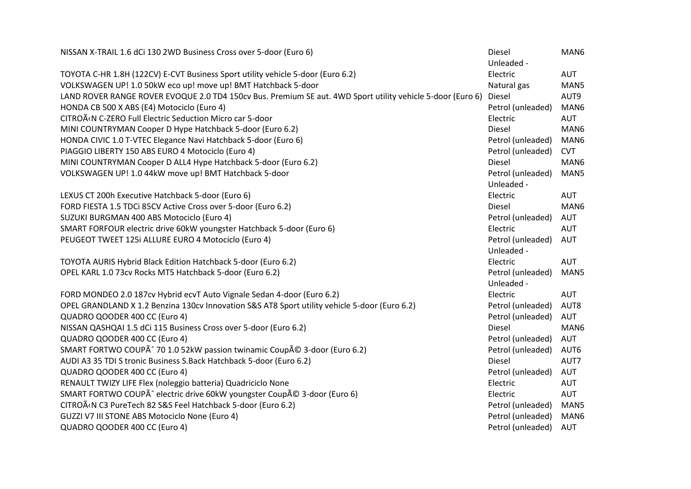| NISSAN X-TRAIL 1.6 dCi 130 2WD Business Cross over 5-door (Euro 6)                                         | Diesel            | MAN6       |
|------------------------------------------------------------------------------------------------------------|-------------------|------------|
|                                                                                                            | Unleaded -        |            |
| TOYOTA C-HR 1.8H (122CV) E-CVT Business Sport utility vehicle 5-door (Euro 6.2)                            | Electric          | <b>AUT</b> |
| VOLKSWAGEN UP! 1.0 50kW eco up! move up! BMT Hatchback 5-door                                              | Natural gas       | MAN5       |
| LAND ROVER RANGE ROVER EVOQUE 2.0 TD4 150cv Bus. Premium SE aut. 4WD Sport utility vehicle 5-door (Euro 6) | Diesel            | AUT9       |
| HONDA CB 500 X ABS (E4) Motociclo (Euro 4)                                                                 | Petrol (unleaded) | MAN6       |
| CITROËN C-ZERO Full Electric Seduction Micro car 5-door                                                    | Electric          | <b>AUT</b> |
| MINI COUNTRYMAN Cooper D Hype Hatchback 5-door (Euro 6.2)                                                  | <b>Diesel</b>     | MAN6       |
| HONDA CIVIC 1.0 T-VTEC Elegance Navi Hatchback 5-door (Euro 6)                                             | Petrol (unleaded) | MAN6       |
| PIAGGIO LIBERTY 150 ABS EURO 4 Motociclo (Euro 4)                                                          | Petrol (unleaded) | <b>CVT</b> |
| MINI COUNTRYMAN Cooper D ALL4 Hype Hatchback 5-door (Euro 6.2)                                             | <b>Diesel</b>     | MAN6       |
| VOLKSWAGEN UP! 1.0 44kW move up! BMT Hatchback 5-door                                                      | Petrol (unleaded) | MAN5       |
|                                                                                                            | Unleaded -        |            |
| LEXUS CT 200h Executive Hatchback 5-door (Euro 6)                                                          | Electric          | AUT        |
| FORD FIESTA 1.5 TDCi 85CV Active Cross over 5-door (Euro 6.2)                                              | Diesel            | MAN6       |
| SUZUKI BURGMAN 400 ABS Motociclo (Euro 4)                                                                  | Petrol (unleaded) | <b>AUT</b> |
| SMART FORFOUR electric drive 60kW youngster Hatchback 5-door (Euro 6)                                      | Electric          | <b>AUT</b> |
| PEUGEOT TWEET 125i ALLURE EURO 4 Motociclo (Euro 4)                                                        | Petrol (unleaded) | <b>AUT</b> |
|                                                                                                            | Unleaded -        |            |
| TOYOTA AURIS Hybrid Black Edition Hatchback 5-door (Euro 6.2)                                              | Electric          | <b>AUT</b> |
| OPEL KARL 1.0 73cv Rocks MT5 Hatchback 5-door (Euro 6.2)                                                   | Petrol (unleaded) | MAN5       |
|                                                                                                            | Unleaded -        |            |
| FORD MONDEO 2.0 187cv Hybrid ecvT Auto Vignale Sedan 4-door (Euro 6.2)                                     | Electric          | <b>AUT</b> |
| OPEL GRANDLAND X 1.2 Benzina 130cv Innovation S&S AT8 Sport utility vehicle 5-door (Euro 6.2)              | Petrol (unleaded) | AUT8       |
| QUADRO QOODER 400 CC (Euro 4)                                                                              | Petrol (unleaded) | AUT        |
| NISSAN QASHQAI 1.5 dCi 115 Business Cross over 5-door (Euro 6.2)                                           | <b>Diesel</b>     | MAN6       |
| QUADRO QOODER 400 CC (Euro 4)                                                                              | Petrol (unleaded) | <b>AUT</b> |
| SMART FORTWO COUPÃ^ 70 1.0 52kW passion twinamic Coupé 3-door (Euro 6.2)                                   | Petrol (unleaded) | AUT6       |
| AUDI A3 35 TDI S tronic Business S.Back Hatchback 5-door (Euro 6.2)                                        | <b>Diesel</b>     | AUT7       |
| QUADRO QOODER 400 CC (Euro 4)                                                                              | Petrol (unleaded) | AUT        |
| RENAULT TWIZY LIFE Flex (noleggio batteria) Quadriciclo None                                               | Electric          | <b>AUT</b> |
| SMART FORTWO COUPÃ^ electric drive 60kW youngster Coupé 3-door (Euro 6)                                    | Electric          | <b>AUT</b> |
| CITROËN C3 PureTech 82 S&S Feel Hatchback 5-door (Euro 6.2)                                                | Petrol (unleaded) | MAN5       |
| GUZZI V7 III STONE ABS Motociclo None (Euro 4)                                                             | Petrol (unleaded) | MAN6       |
| QUADRO QOODER 400 CC (Euro 4)                                                                              | Petrol (unleaded) | <b>AUT</b> |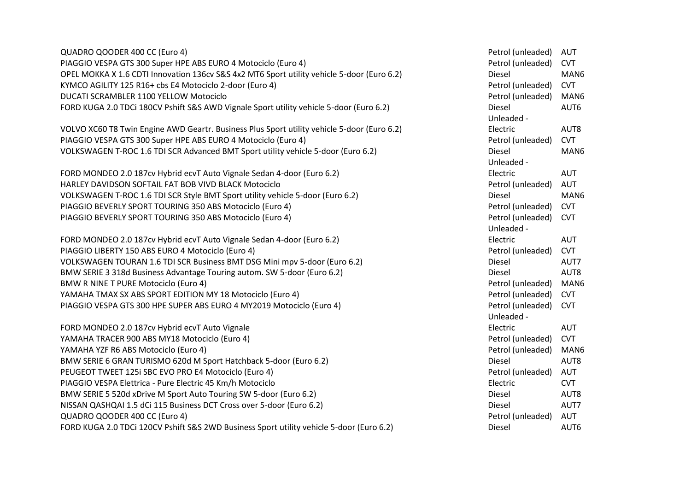| QUADRO QOODER 400 CC (Euro 4)                                                               | Petrol (unleaded) | <b>AUT</b> |
|---------------------------------------------------------------------------------------------|-------------------|------------|
| PIAGGIO VESPA GTS 300 Super HPE ABS EURO 4 Motociclo (Euro 4)                               | Petrol (unleaded) | <b>CVT</b> |
| OPEL MOKKA X 1.6 CDTI Innovation 136cv S&S 4x2 MT6 Sport utility vehicle 5-door (Euro 6.2)  | Diesel            | MAN6       |
| KYMCO AGILITY 125 R16+ cbs E4 Motociclo 2-door (Euro 4)                                     | Petrol (unleaded) | <b>CVT</b> |
| DUCATI SCRAMBLER 1100 YELLOW Motociclo                                                      | Petrol (unleaded) | MAN6       |
| FORD KUGA 2.0 TDCi 180CV Pshift S&S AWD Vignale Sport utility vehicle 5-door (Euro 6.2)     | Diesel            | AUT6       |
|                                                                                             | Unleaded -        |            |
| VOLVO XC60 T8 Twin Engine AWD Geartr. Business Plus Sport utility vehicle 5-door (Euro 6.2) | Electric          | AUT8       |
| PIAGGIO VESPA GTS 300 Super HPE ABS EURO 4 Motociclo (Euro 4)                               | Petrol (unleaded) | <b>CVT</b> |
| VOLKSWAGEN T-ROC 1.6 TDI SCR Advanced BMT Sport utility vehicle 5-door (Euro 6.2)           | Diesel            | MAN6       |
|                                                                                             | Unleaded -        |            |
| FORD MONDEO 2.0 187cv Hybrid ecvT Auto Vignale Sedan 4-door (Euro 6.2)                      | Electric          | <b>AUT</b> |
| HARLEY DAVIDSON SOFTAIL FAT BOB VIVD BLACK Motociclo                                        | Petrol (unleaded) | <b>AUT</b> |
| VOLKSWAGEN T-ROC 1.6 TDI SCR Style BMT Sport utility vehicle 5-door (Euro 6.2)              | Diesel            | MAN6       |
| PIAGGIO BEVERLY SPORT TOURING 350 ABS Motociclo (Euro 4)                                    | Petrol (unleaded) | <b>CVT</b> |
| PIAGGIO BEVERLY SPORT TOURING 350 ABS Motociclo (Euro 4)                                    | Petrol (unleaded) | <b>CVT</b> |
|                                                                                             | Unleaded -        |            |
| FORD MONDEO 2.0 187cv Hybrid ecvT Auto Vignale Sedan 4-door (Euro 6.2)                      | Electric          | <b>AUT</b> |
| PIAGGIO LIBERTY 150 ABS EURO 4 Motociclo (Euro 4)                                           | Petrol (unleaded) | <b>CVT</b> |
| VOLKSWAGEN TOURAN 1.6 TDI SCR Business BMT DSG Mini mpv 5-door (Euro 6.2)                   | Diesel            | AUT7       |
| BMW SERIE 3 318d Business Advantage Touring autom. SW 5-door (Euro 6.2)                     | Diesel            | AUT8       |
| <b>BMW R NINE T PURE Motociclo (Euro 4)</b>                                                 | Petrol (unleaded) | MAN6       |
| YAMAHA TMAX SX ABS SPORT EDITION MY 18 Motociclo (Euro 4)                                   | Petrol (unleaded) | <b>CVT</b> |
| PIAGGIO VESPA GTS 300 HPE SUPER ABS EURO 4 MY2019 Motociclo (Euro 4)                        | Petrol (unleaded) | <b>CVT</b> |
|                                                                                             | Unleaded -        |            |
| FORD MONDEO 2.0 187cv Hybrid ecvT Auto Vignale                                              | Electric          | <b>AUT</b> |
| YAMAHA TRACER 900 ABS MY18 Motociclo (Euro 4)                                               | Petrol (unleaded) | <b>CVT</b> |
| YAMAHA YZF R6 ABS Motociclo (Euro 4)                                                        | Petrol (unleaded) | MAN6       |
| BMW SERIE 6 GRAN TURISMO 620d M Sport Hatchback 5-door (Euro 6.2)                           | Diesel            | AUT8       |
| PEUGEOT TWEET 125i SBC EVO PRO E4 Motociclo (Euro 4)                                        | Petrol (unleaded) | <b>AUT</b> |
| PIAGGIO VESPA Elettrica - Pure Electric 45 Km/h Motociclo                                   | Electric          | <b>CVT</b> |
| BMW SERIE 5 520d xDrive M Sport Auto Touring SW 5-door (Euro 6.2)                           | Diesel            | AUT8       |
| NISSAN QASHQAI 1.5 dCi 115 Business DCT Cross over 5-door (Euro 6.2)                        | Diesel            | AUT7       |
| QUADRO QOODER 400 CC (Euro 4)                                                               | Petrol (unleaded) | AUT        |
| FORD KUGA 2.0 TDCi 120CV Pshift S&S 2WD Business Sport utility vehicle 5-door (Euro 6.2)    | <b>Diesel</b>     | AUT6       |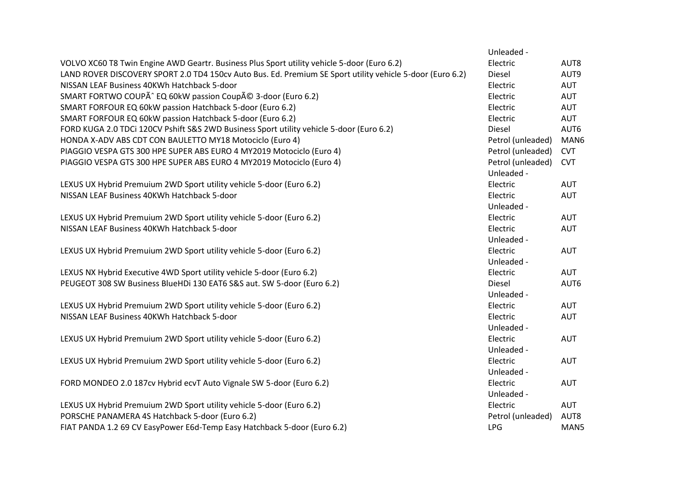|                                                                                                           | Unleaded -        |            |
|-----------------------------------------------------------------------------------------------------------|-------------------|------------|
| VOLVO XC60 T8 Twin Engine AWD Geartr. Business Plus Sport utility vehicle 5-door (Euro 6.2)               | Electric          | AUT8       |
| LAND ROVER DISCOVERY SPORT 2.0 TD4 150cv Auto Bus. Ed. Premium SE Sport utility vehicle 5-door (Euro 6.2) | Diesel            | AUT9       |
| NISSAN LEAF Business 40KWh Hatchback 5-door                                                               | Electric          | AUT        |
| SMART FORTWO COUPÃ^ EQ 60kW passion Coupé 3-door (Euro 6.2)                                               | Electric          | <b>AUT</b> |
| SMART FORFOUR EQ 60kW passion Hatchback 5-door (Euro 6.2)                                                 | Electric          | AUT        |
| SMART FORFOUR EQ 60kW passion Hatchback 5-door (Euro 6.2)                                                 | Electric          | <b>AUT</b> |
| FORD KUGA 2.0 TDCi 120CV Pshift S&S 2WD Business Sport utility vehicle 5-door (Euro 6.2)                  | Diesel            | AUT6       |
| HONDA X-ADV ABS CDT CON BAULETTO MY18 Motociclo (Euro 4)                                                  | Petrol (unleaded) | MAN6       |
| PIAGGIO VESPA GTS 300 HPE SUPER ABS EURO 4 MY2019 Motociclo (Euro 4)                                      | Petrol (unleaded) | <b>CVT</b> |
| PIAGGIO VESPA GTS 300 HPE SUPER ABS EURO 4 MY2019 Motociclo (Euro 4)                                      | Petrol (unleaded) | <b>CVT</b> |
|                                                                                                           | Unleaded -        |            |
| LEXUS UX Hybrid Premuium 2WD Sport utility vehicle 5-door (Euro 6.2)                                      | Electric          | <b>AUT</b> |
| NISSAN LEAF Business 40KWh Hatchback 5-door                                                               | Electric          | AUT        |
|                                                                                                           | Unleaded -        |            |
| LEXUS UX Hybrid Premuium 2WD Sport utility vehicle 5-door (Euro 6.2)                                      | Electric          | <b>AUT</b> |
| NISSAN LEAF Business 40KWh Hatchback 5-door                                                               | Electric          | <b>AUT</b> |
|                                                                                                           | Unleaded -        |            |
| LEXUS UX Hybrid Premuium 2WD Sport utility vehicle 5-door (Euro 6.2)                                      | Electric          | <b>AUT</b> |
|                                                                                                           | Unleaded -        |            |
| LEXUS NX Hybrid Executive 4WD Sport utility vehicle 5-door (Euro 6.2)                                     | Electric          | <b>AUT</b> |
| PEUGEOT 308 SW Business BlueHDi 130 EAT6 S&S aut. SW 5-door (Euro 6.2)                                    | Diesel            | AUT6       |
|                                                                                                           | Unleaded -        |            |
| LEXUS UX Hybrid Premuium 2WD Sport utility vehicle 5-door (Euro 6.2)                                      | Electric          | <b>AUT</b> |
| NISSAN LEAF Business 40KWh Hatchback 5-door                                                               | Electric          | <b>AUT</b> |
|                                                                                                           | Unleaded -        |            |
| LEXUS UX Hybrid Premuium 2WD Sport utility vehicle 5-door (Euro 6.2)                                      | Electric          | <b>AUT</b> |
|                                                                                                           | Unleaded -        |            |
| LEXUS UX Hybrid Premuium 2WD Sport utility vehicle 5-door (Euro 6.2)                                      | Electric          | <b>AUT</b> |
|                                                                                                           | Unleaded -        |            |
| FORD MONDEO 2.0 187cv Hybrid ecvT Auto Vignale SW 5-door (Euro 6.2)                                       | Electric          | AUT        |
|                                                                                                           | Unleaded -        |            |
| LEXUS UX Hybrid Premuium 2WD Sport utility vehicle 5-door (Euro 6.2)                                      | Electric          | AUT        |
| PORSCHE PANAMERA 4S Hatchback 5-door (Euro 6.2)                                                           | Petrol (unleaded) | AUT8       |
| FIAT PANDA 1.2 69 CV EasyPower E6d-Temp Easy Hatchback 5-door (Euro 6.2)                                  | <b>LPG</b>        | MAN5       |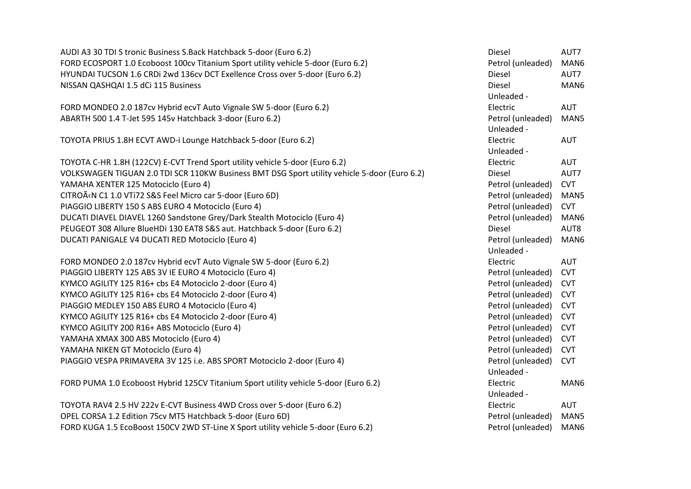| AUDI A3 30 TDI S tronic Business S.Back Hatchback 5-door (Euro 6.2)                          | Diesel                          | AUT7       |
|----------------------------------------------------------------------------------------------|---------------------------------|------------|
| FORD ECOSPORT 1.0 Ecoboost 100cv Titanium Sport utility vehicle 5-door (Euro 6.2)            | Petrol (unleaded)               | MAN6       |
| HYUNDAI TUCSON 1.6 CRDi 2wd 136cv DCT Exellence Cross over 5-door (Euro 6.2)                 | Diesel                          | AUT7       |
| NISSAN QASHQAI 1.5 dCi 115 Business                                                          | Diesel                          | MAN6       |
|                                                                                              | Unleaded -                      |            |
| FORD MONDEO 2.0 187cv Hybrid ecvT Auto Vignale SW 5-door (Euro 6.2)                          | Electric                        | AUT        |
| ABARTH 500 1.4 T-Jet 595 145v Hatchback 3-door (Euro 6.2)                                    | Petrol (unleaded)<br>Unleaded - | MAN5       |
| TOYOTA PRIUS 1.8H ECVT AWD-i Lounge Hatchback 5-door (Euro 6.2)                              | Electric<br>Unleaded -          | <b>AUT</b> |
| TOYOTA C-HR 1.8H (122CV) E-CVT Trend Sport utility vehicle 5-door (Euro 6.2)                 | Electric                        | <b>AUT</b> |
| VOLKSWAGEN TIGUAN 2.0 TDI SCR 110KW Business BMT DSG Sport utility vehicle 5-door (Euro 6.2) | Diesel                          | AUT7       |
| YAMAHA XENTER 125 Motociclo (Euro 4)                                                         | Petrol (unleaded)               | <b>CVT</b> |
| CITROËN C1 1.0 VTi72 S&S Feel Micro car 5-door (Euro 6D)                                     | Petrol (unleaded)               | MAN5       |
| PIAGGIO LIBERTY 150 S ABS EURO 4 Motociclo (Euro 4)                                          | Petrol (unleaded)               | <b>CVT</b> |
| DUCATI DIAVEL DIAVEL 1260 Sandstone Grey/Dark Stealth Motociclo (Euro 4)                     | Petrol (unleaded)               | MAN6       |
| PEUGEOT 308 Allure BlueHDi 130 EAT8 S&S aut. Hatchback 5-door (Euro 6.2)                     | Diesel                          | AUT8       |
| DUCATI PANIGALE V4 DUCATI RED Motociclo (Euro 4)                                             | Petrol (unleaded)<br>Unleaded - | MAN6       |
| FORD MONDEO 2.0 187cv Hybrid ecvT Auto Vignale SW 5-door (Euro 6.2)                          | Electric                        | <b>AUT</b> |
| PIAGGIO LIBERTY 125 ABS 3V IE EURO 4 Motociclo (Euro 4)                                      | Petrol (unleaded)               | <b>CVT</b> |
| KYMCO AGILITY 125 R16+ cbs E4 Motociclo 2-door (Euro 4)                                      | Petrol (unleaded)               | <b>CVT</b> |
| KYMCO AGILITY 125 R16+ cbs E4 Motociclo 2-door (Euro 4)                                      | Petrol (unleaded)               | <b>CVT</b> |
| PIAGGIO MEDLEY 150 ABS EURO 4 Motociclo (Euro 4)                                             | Petrol (unleaded)               | <b>CVT</b> |
| KYMCO AGILITY 125 R16+ cbs E4 Motociclo 2-door (Euro 4)                                      | Petrol (unleaded)               | <b>CVT</b> |
| KYMCO AGILITY 200 R16+ ABS Motociclo (Euro 4)                                                | Petrol (unleaded)               | <b>CVT</b> |
| YAMAHA XMAX 300 ABS Motociclo (Euro 4)                                                       | Petrol (unleaded)               | <b>CVT</b> |
| YAMAHA NIKEN GT Motociclo (Euro 4)                                                           | Petrol (unleaded)               | <b>CVT</b> |
| PIAGGIO VESPA PRIMAVERA 3V 125 i.e. ABS SPORT Motociclo 2-door (Euro 4)                      | Petrol (unleaded)               | <b>CVT</b> |
|                                                                                              | Unleaded -                      |            |
| FORD PUMA 1.0 Ecoboost Hybrid 125CV Titanium Sport utility vehicle 5-door (Euro 6.2)         | Electric                        | MAN6       |
|                                                                                              | Unleaded -                      |            |
| TOYOTA RAV4 2.5 HV 222v E-CVT Business 4WD Cross over 5-door (Euro 6.2)                      | Electric                        | AUT        |
| OPEL CORSA 1.2 Edition 75cv MT5 Hatchback 5-door (Euro 6D)                                   | Petrol (unleaded)               | MAN5       |
| FORD KUGA 1.5 EcoBoost 150CV 2WD ST-Line X Sport utility vehicle 5-door (Euro 6.2)           | Petrol (unleaded)               | MAN6       |